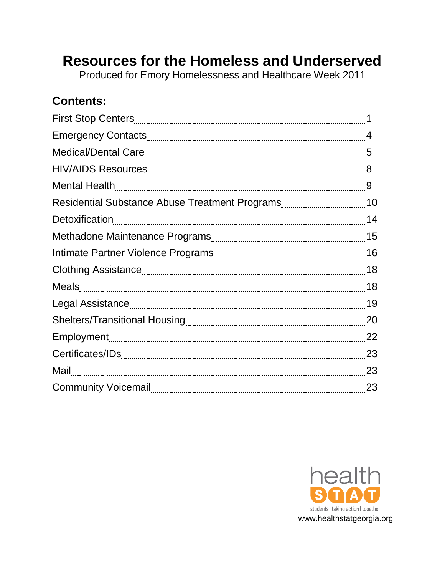# **Resources for the Homeless and Underserved**

Produced for Emory Homelessness and Healthcare Week 2011

## **Contents:**

| 4  |
|----|
|    |
|    |
|    |
|    |
|    |
|    |
|    |
|    |
| 18 |
|    |
|    |
|    |
|    |
|    |
| 23 |
|    |

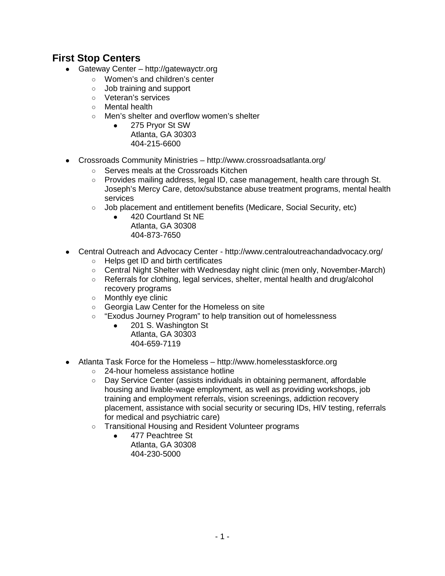## **First Stop Centers**

- Gateway Center http://gatewayctr.org
	- Women's and children's center
	- Job training and support
	- Veteran's services
	- Mental health
	- Men's shelter and overflow women's shelter
		- 275 Pryor St SW Atlanta, GA 30303 404-215-6600
- Crossroads Community Ministries http://www.crossroadsatlanta.org/
	- Serves meals at the Crossroads Kitchen
	- Provides mailing address, legal ID, case management, health care through St. Joseph's Mercy Care, detox/substance abuse treatment programs, mental health services
	- Job placement and entitlement benefits (Medicare, Social Security, etc)
		- 420 Courtland St NE Atlanta, GA 30308 404-873-7650
- Central Outreach and Advocacy Center http://www.centraloutreachandadvocacy.org/
	- Helps get ID and birth certificates
	- Central Night Shelter with Wednesday night clinic (men only, November-March)
	- Referrals for clothing, legal services, shelter, mental health and drug/alcohol recovery programs
	- Monthly eye clinic
	- Georgia Law Center for the Homeless on site
	- "Exodus Journey Program" to help transition out of homelessness
		- 201 S. Washington St Atlanta, GA 30303 404-659-7119
- Atlanta Task Force for the Homeless http://www.homelesstaskforce.org
	- 24-hour homeless assistance hotline<br>○ Day Service Center (assists individua
	- Day Service Center (assists individuals in obtaining permanent, affordable housing and livable-wage employment, as well as providing workshops, job training and employment referrals, vision screenings, addiction recovery placement, assistance with social security or securing IDs, HIV testing, referrals for medical and psychiatric care)
	- Transitional Housing and Resident Volunteer programs
		- 477 Peachtree St Atlanta, GA 30308 404-230-5000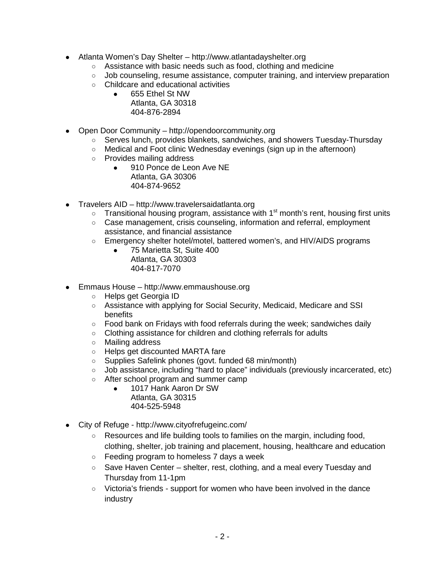- Atlanta Women's Day Shelter http://www.atlantadayshelter.org
	- Assistance with basic needs such as food, clothing and medicine
	- Job counseling, resume assistance, computer training, and interview preparation
	- Childcare and educational activities
		- 655 Ethel St NW Atlanta, GA 30318 404-876-2894
- Open Door Community http://opendoorcommunity.org
	- Serves lunch, provides blankets, sandwiches, and showers Tuesday-Thursday
	- Medical and Foot clinic Wednesday evenings (sign up in the afternoon)
	- Provides mailing address
		- 910 Ponce de Leon Ave NE Atlanta, GA 30306 404-874-9652
- Travelers AID http://www.travelersaidatlanta.org
	- $\circ$  Transitional housing program, assistance with 1<sup>st</sup> month's rent, housing first units
	- Case management, crisis counseling, information and referral, employment assistance, and financial assistance
	- Emergency shelter hotel/motel, battered women's, and HIV/AIDS programs<br>■ 75 Marietta St. Suite 400
		- 75 Marietta St, Suite 400 Atlanta, GA 30303 404-817-7070
- Emmaus House http://www.emmaushouse.org
	- Helps get Georgia ID
	- Assistance with applying for Social Security, Medicaid, Medicare and SSI benefits
	- Food bank on Fridays with food referrals during the week; sandwiches daily
	- Clothing assistance for children and clothing referrals for adults<br>○ Mailing address
	- Mailing address
	- Helps get discounted MARTA fare
	- Supplies Safelink phones (govt. funded 68 min/month)
	- Job assistance, including "hard to place" individuals (previously incarcerated, etc)
	- After school program and summer camp<br>■ 1017 Hank Aaron Dr SW
		- 1017 Hank Aaron Dr SW Atlanta, GA 30315 404-525-5948
- City of Refuge http://www.cityofrefugeinc.com/
	- Resources and life building tools to families on the margin, including food, clothing, shelter, job training and placement, housing, healthcare and education
	- Feeding program to homeless 7 days a week
	- Save Haven Center shelter, rest, clothing, and a meal every Tuesday and Thursday from 11-1pm
	- Victoria's friends support for women who have been involved in the dance industry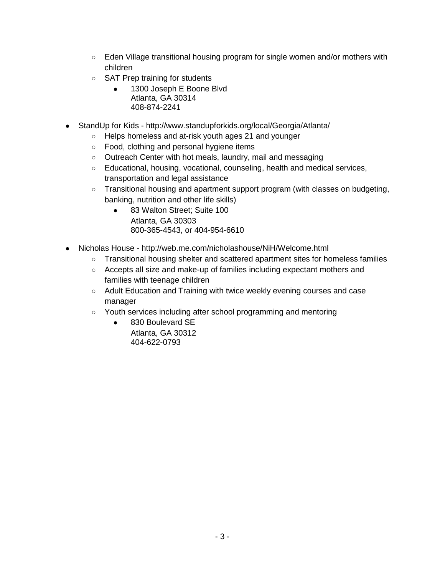- Eden Village transitional housing program for single women and/or mothers with children
- SAT Prep training for students
	- 1300 Joseph E Boone Blvd Atlanta, GA 30314 408-874-2241
- StandUp for Kids http://www.standupforkids.org/local/Georgia/Atlanta/
	- Helps homeless and at-risk youth ages 21 and younger
	- Food, clothing and personal hygiene items
	- Outreach Center with hot meals, laundry, mail and messaging
	- Educational, housing, vocational, counseling, health and medical services, transportation and legal assistance
	- Transitional housing and apartment support program (with classes on budgeting, banking, nutrition and other life skills)
		- 83 Walton Street; Suite 100 Atlanta, GA 30303 800-365-4543, or 404-954-6610
- Nicholas House http://web.me.com/nicholashouse/NiH/Welcome.html
	- Transitional housing shelter and scattered apartment sites for homeless families
	- Accepts all size and make-up of families including expectant mothers and families with teenage children
	- Adult Education and Training with twice weekly evening courses and case manager
	- Youth services including after school programming and mentoring
		- 830 Boulevard SE Atlanta, GA 30312 404-622-0793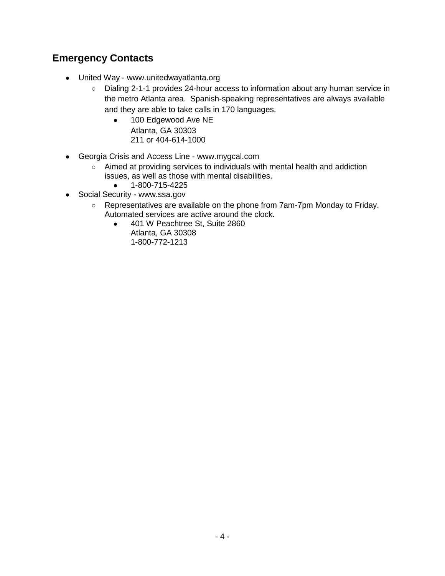## **Emergency Contacts**

- United Way www.unitedwayatlanta.org
	- Dialing 2-1-1 provides 24-hour access to information about any human service in the metro Atlanta area. Spanish-speaking representatives are always available and they are able to take calls in 170 languages.
		- 100 Edgewood Ave NE Atlanta, GA 30303 211 or 404-614-1000
- Georgia Crisis and Access Line www.mygcal.com
	- Aimed at providing services to individuals with mental health and addiction issues, as well as those with mental disabilities.
		- 1-800-715-4225
- Social Security www.ssa.gov
	- Representatives are available on the phone from 7am-7pm Monday to Friday. Automated services are active around the clock.
		- 401 W Peachtree St, Suite 2860 Atlanta, GA 30308
			- 1-800-772-1213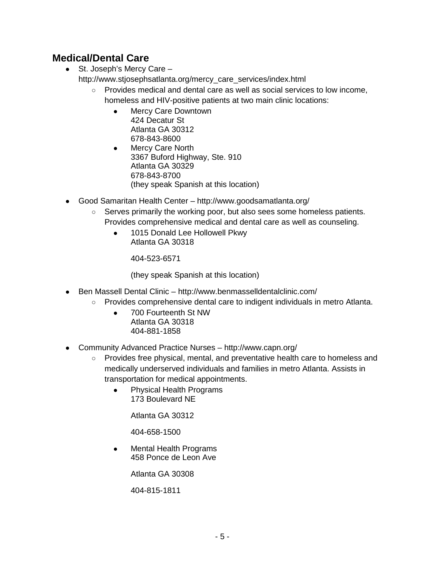## **Medical/Dental Care**

- St. Joseph's Mercy Care
	- http://www.stjosephsatlanta.org/mercy\_care\_services/index.html
		- Provides medical and dental care as well as social services to low income, homeless and HIV-positive patients at two main clinic locations:
			- Mercy Care Downtown 424 Decatur St Atlanta GA 30312 678-843-8600
			- Mercy Care North 3367 Buford Highway, Ste. 910 Atlanta GA 30329 678-843-8700 (they speak Spanish at this location)
- Good Samaritan Health Center http://www.goodsamatlanta.org/
	- Serves primarily the working poor, but also sees some homeless patients. Provides comprehensive medical and dental care as well as counseling.
		- 1015 Donald Lee Hollowell Pkwy Atlanta GA 30318

404-523-6571

(they speak Spanish at this location)

- Ben Massell Dental Clinic http://www.benmasselldentalclinic.com/
	- Provides comprehensive dental care to indigent individuals in metro Atlanta.
		- 700 Fourteenth St NW Atlanta GA 30318 404-881-1858
- Community Advanced Practice Nurses http://www.capn.org/
	- Provides free physical, mental, and preventative health care to homeless and medically underserved individuals and families in metro Atlanta. Assists in transportation for medical appointments.
		- Physical Health Programs 173 Boulevard NE

Atlanta GA 30312

404-658-1500

• Mental Health Programs 458 Ponce de Leon Ave

Atlanta GA 30308

404-815-1811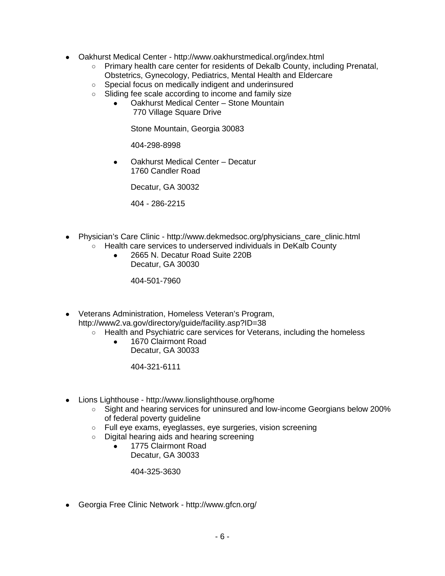- Oakhurst Medical Center http://www.oakhurstmedical.org/index.html
	- Primary health care center for residents of Dekalb County, including Prenatal, Obstetrics, Gynecology, Pediatrics, Mental Health and Eldercare
	- Special focus on medically indigent and underinsured
	- Sliding fee scale according to income and family size
		- Oakhurst Medical Center Stone Mountain 770 Village Square Drive

Stone Mountain, Georgia 30083

404-298-8998

● Oakhurst Medical Center – Decatur 1760 Candler Road

Decatur, GA 30032

404 - 286-2215

- Physician's Care Clinic http://www.dekmedsoc.org/physicians\_care\_clinic.html
	- Health care services to underserved individuals in DeKalb County
		- 2665 N. Decatur Road Suite 220B Decatur, GA 30030

404-501-7960

- Veterans Administration, Homeless Veteran's Program, http://www2.va.gov/directory/guide/facility.asp?ID=38
	- Health and Psychiatric care services for Veterans, including the homeless
		- 1670 Clairmont Road Decatur, GA 30033

404-321-6111

- Lions Lighthouse http://www.lionslighthouse.org/home
	- Sight and hearing services for uninsured and low-income Georgians below 200% of federal poverty guideline
	- Full eye exams, eyeglasses, eye surgeries, vision screening
	- Digital hearing aids and hearing screening
		- 1775 Clairmont Road Decatur, GA 30033

404-325-3630

● Georgia Free Clinic Network - http://www.gfcn.org/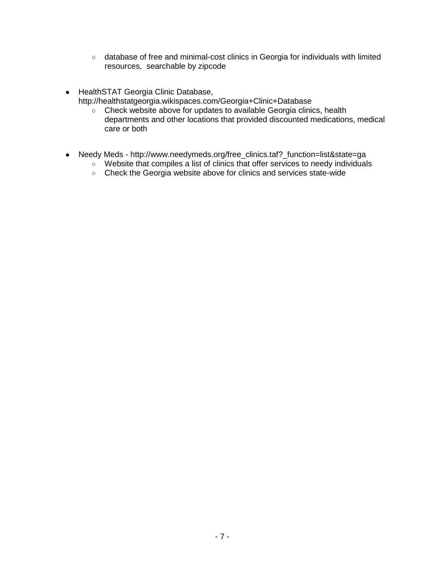- o database of free and minimal-cost clinics in Georgia for individuals with limited resources, searchable by zipcode
- HealthSTAT Georgia Clinic Database, http://healthstatgeorgia.wikispaces.com/Georgia+Clinic+Database
	- Check website above for updates to available Georgia clinics, health departments and other locations that provided discounted medications, medical care or both
- Needy Meds http://www.needymeds.org/free\_clinics.taf?\_function=list&state=ga
	- Website that compiles a list of clinics that offer services to needy individuals
	- Check the Georgia website above for clinics and services state-wide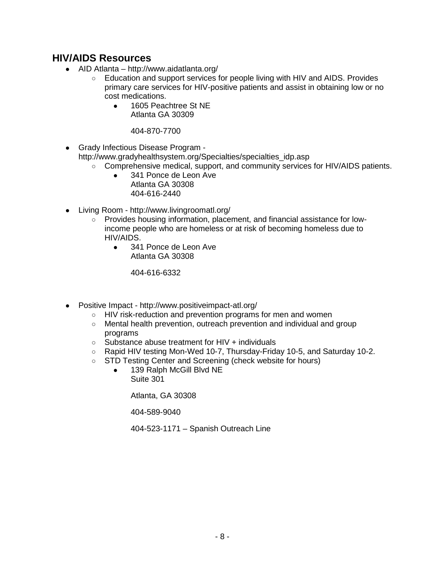#### **HIV/AIDS Resources**

- AID Atlanta http://www.aidatlanta.org/
	- Education and support services for people living with HIV and AIDS. Provides primary care services for HIV-positive patients and assist in obtaining low or no cost medications.
		- 1605 Peachtree St NE Atlanta GA 30309

404-870-7700

- Grady Infectious Disease Program http://www.gradyhealthsystem.org/Specialties/specialties\_idp.asp
	- Comprehensive medical, support, and community services for HIV/AIDS patients.
		- 341 Ponce de Leon Ave Atlanta GA 30308 404-616-2440
- Living Room http://www.livingroomatl.org/
	- Provides housing information, placement, and financial assistance for lowincome people who are homeless or at risk of becoming homeless due to HIV/AIDS.
		- 341 Ponce de Leon Ave Atlanta GA 30308

404-616-6332

- Positive Impact http://www.positiveimpact-atl.org/
	- HIV risk-reduction and prevention programs for men and women
	- Mental health prevention, outreach prevention and individual and group programs
	- Substance abuse treatment for HIV + individuals
	- Rapid HIV testing Mon-Wed 10-7, Thursday-Friday 10-5, and Saturday 10-2.
	- STD Testing Center and Screening (check website for hours)
		- 139 Ralph McGill Blvd NE Suite 301

Atlanta, GA 30308

404-589-9040

404-523-1171 – Spanish Outreach Line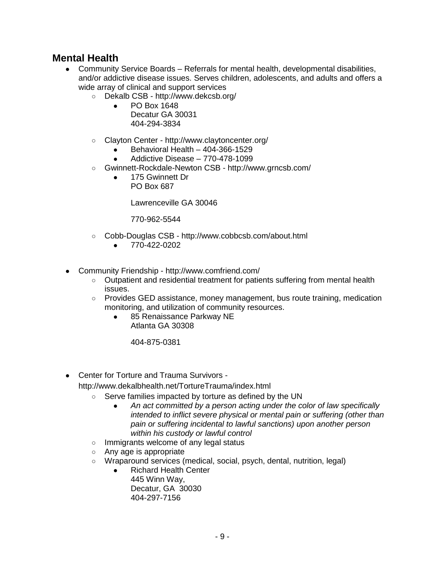#### **Mental Health**

- Community Service Boards Referrals for mental health, developmental disabilities, and/or addictive disease issues. Serves children, adolescents, and adults and offers a wide array of clinical and support services
	- Dekalb CSB http://www.dekcsb.org/
		- PO Box 1648 Decatur GA 30031 404-294-3834
	- Clayton Center http://www.claytoncenter.org/
		- Behavioral Health  $404-366-1529$
		- Addictive Disease 770-478-1099
	- Gwinnett-Rockdale-Newton CSB http://www.grncsb.com/
		- 175 Gwinnett Dr PO Box 687

Lawrenceville GA 30046

770-962-5544

- Cobb-Douglas CSB http://www.cobbcsb.com/about.html
	- 770-422-0202
- Community Friendship http://www.comfriend.com/
	- Outpatient and residential treatment for patients suffering from mental health issues.
	- Provides GED assistance, money management, bus route training, medication monitoring, and utilization of community resources.
		- 85 Renaissance Parkway NE Atlanta GA 30308

404-875-0381

● Center for Torture and Trauma Survivors -

http://www.dekalbhealth.net/TortureTrauma/index.html

- Serve families impacted by torture as defined by the UN
	- An act committed by a person acting under the color of law specifically *intended to inflict severe physical or mental pain or suffering (other than pain or suffering incidental to lawful sanctions) upon another person within his custody or lawful control*
- Immigrants welcome of any legal status
- Any age is appropriate
- Wraparound services (medical, social, psych, dental, nutrition, legal)
	- Richard Health Center 445 Winn Way, Decatur, GA 30030 404-297-7156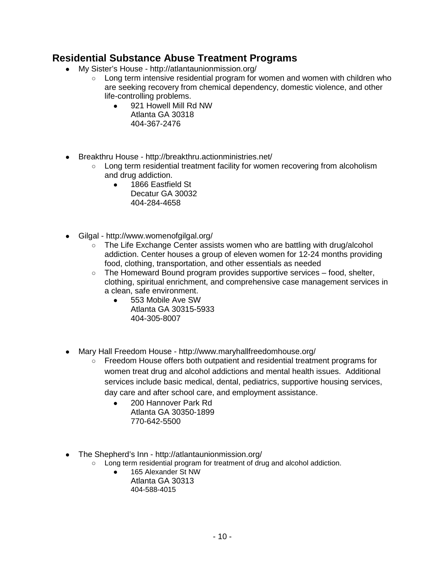#### **Residential Substance Abuse Treatment Programs**

- My Sister's House http://atlantaunionmission.org/
	- Long term intensive residential program for women and women with children who are seeking recovery from chemical dependency, domestic violence, and other life-controlling problems.
		- 921 Howell Mill Rd NW Atlanta GA 30318 404-367-2476
- Breakthru House http://breakthru.actionministries.net/
	- Long term residential treatment facility for women recovering from alcoholism and drug addiction.
		- 1866 Eastfield St Decatur GA 30032 404-284-4658
- Gilgal http://www.womenofgilgal.org/
	- $\circ$  The Life Exchange Center assists women who are battling with drug/alcohol addiction. Center houses a group of eleven women for 12-24 months providing food, clothing, transportation, and other essentials as needed
	- The Homeward Bound program provides supportive services food, shelter, clothing, spiritual enrichment, and comprehensive case management services in a clean, safe environment.
		- 553 Mobile Ave SW Atlanta GA 30315-5933 404-305-8007
- Mary Hall Freedom House http://www.maryhallfreedomhouse.org/<br>Freedom House offers both outpatient and residential treatm
	- Freedom House offers both outpatient and residential treatment programs for women treat drug and alcohol addictions and mental health issues. Additional services include basic medical, dental, pediatrics, supportive housing services, day care and after school care, and employment assistance.
		- 200 Hannover Park Rd Atlanta GA 30350-1899 770-642-5500
- The Shepherd's Inn http://atlantaunionmission.org/
	- Long term residential program for treatment of drug and alcohol addiction.
		- 165 Alexander St NW Atlanta GA 30313 404-588-4015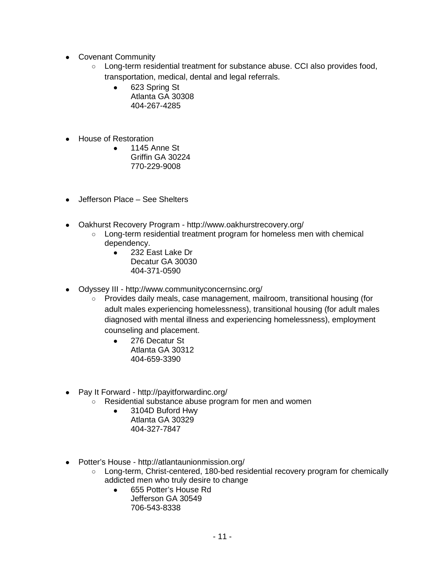- Covenant Community
	- Long-term residential treatment for substance abuse. CCI also provides food, transportation, medical, dental and legal referrals.
		- 623 Spring St Atlanta GA 30308 404-267-4285
- House of Restoration
	- 1145 Anne St Griffin GA 30224 770-229-9008
- Jefferson Place See Shelters
- Oakhurst Recovery Program http://www.oakhurstrecovery.org/
	- Long-term residential treatment program for homeless men with chemical dependency.
		- 232 East Lake Dr Decatur GA 30030 404-371-0590
- Odyssey III http://www.communityconcernsinc.org/
	- Provides daily meals, case management, mailroom, transitional housing (for adult males experiencing homelessness), transitional housing (for adult males diagnosed with mental illness and experiencing homelessness), employment counseling and placement.
		- 276 Decatur St Atlanta GA 30312 404-659-3390
- Pay It Forward http://payitforwardinc.org/
	- Residential substance abuse program for men and women
		- 3104D Buford Hwy Atlanta GA 30329 404-327-7847
- Potter's House http://atlantaunionmission.org/
	- Long-term, Christ-centered, 180-bed residential recovery program for chemically addicted men who truly desire to change
		- 655 Potter's House Rd Jefferson GA 30549 706-543-8338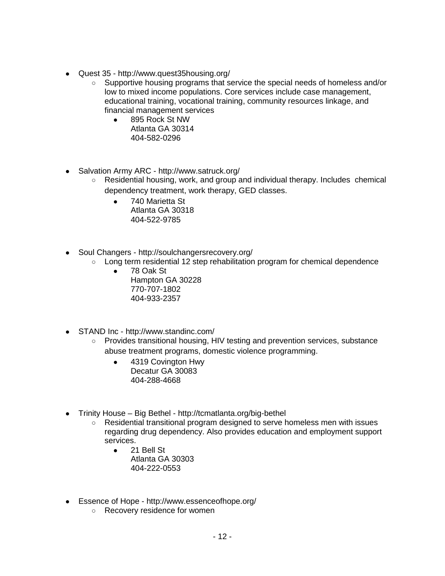- Quest 35 http://www.quest35housing.org/
	- Supportive housing programs that service the special needs of homeless and/or low to mixed income populations. Core services include case management, educational training, vocational training, community resources linkage, and financial management services
		- 895 Rock St NW Atlanta GA 30314 404-582-0296
- Salvation Army ARC http://www.satruck.org/
	- Residential housing, work, and group and individual therapy. Includes chemical dependency treatment, work therapy, GED classes.
		- 740 Marietta St Atlanta GA 30318 404-522-9785
- Soul Changers http://soulchangersrecovery.org/
	- Long term residential 12 step rehabilitation program for chemical dependence<br>■ 78 Oak St
		- 78 Oak St Hampton GA 30228 770-707-1802 404-933-2357
- STAND Inc http://www.standinc.com/
	- Provides transitional housing, HIV testing and prevention services, substance abuse treatment programs, domestic violence programming.
		- 4319 Covington Hwy Decatur GA 30083 404-288-4668
- Trinity House Big Bethel http://tcmatlanta.org/big-bethel
	- Residential transitional program designed to serve homeless men with issues regarding drug dependency. Also provides education and employment support services.
		- 21 Bell St Atlanta GA 30303 404-222-0553
- Essence of Hope http://www.essenceofhope.org/
	- Recovery residence for women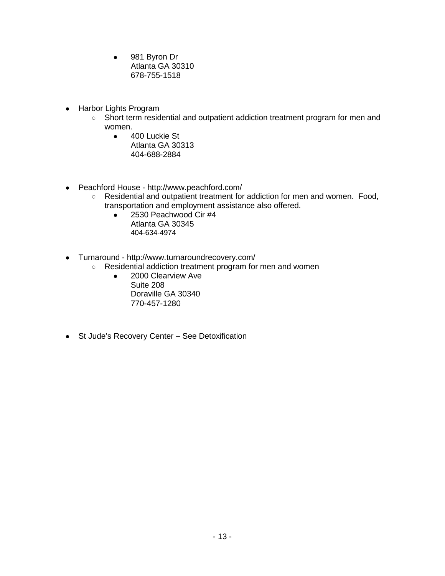- 981 Byron Dr Atlanta GA 30310 678-755-1518
- Harbor Lights Program
	- Short term residential and outpatient addiction treatment program for men and women.
		- 400 Luckie St Atlanta GA 30313 404-688-2884
- Peachford House http://www.peachford.com/<br>© Residential and outpatient treatment for
	- Residential and outpatient treatment for addiction for men and women. Food, transportation and employment assistance also offered.
		- $\bullet$  2530 Peachwood Cir #4 Atlanta GA 30345 404-634-4974
- Turnaround http://www.turnaroundrecovery.com/
	- Residential addiction treatment program for men and women
		- 2000 Clearview Ave Suite 208 Doraville GA 30340 770-457-1280
- St Jude's Recovery Center See Detoxification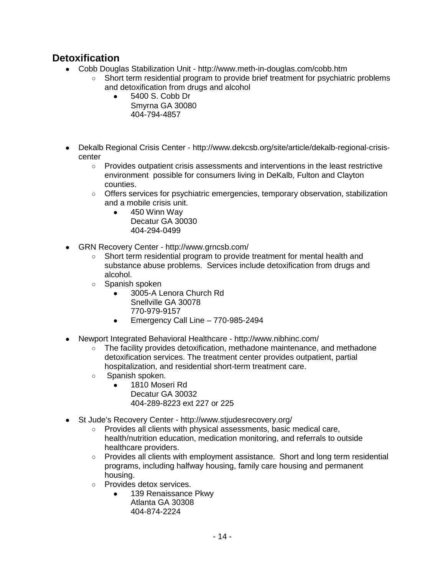#### **Detoxification**

- Cobb Douglas Stabilization Unit http://www.meth-in-douglas.com/cobb.htm
	- Short term residential program to provide brief treatment for psychiatric problems and detoxification from drugs and alcohol
		- 5400 S. Cobb Dr Smyrna GA 30080 404-794-4857
- Dekalb Regional Crisis Center http://www.dekcsb.org/site/article/dekalb-regional-crisiscenter
	- Provides outpatient crisis assessments and interventions in the least restrictive environment possible for consumers living in DeKalb, Fulton and Clayton counties.
	- Offers services for psychiatric emergencies, temporary observation, stabilization and a mobile crisis unit.
		- 450 Winn Way Decatur GA 30030 404-294-0499
- GRN Recovery Center http://www.grncsb.com/
	- Short term residential program to provide treatment for mental health and substance abuse problems. Services include detoxification from drugs and alcohol.
	- Spanish spoken
		- 3005-A Lenora Church Rd Snellville GA 30078 770-979-9157
		- Emergency Call Line 770-985-2494
- Newport Integrated Behavioral Healthcare http://www.nibhinc.com/
	- The facility provides detoxification, methadone maintenance, and methadone detoxification services. The treatment center provides outpatient, partial hospitalization, and residential short-term treatment care.
	- Spanish spoken.
		- 1810 Moseri Rd Decatur GA 30032 404-289-8223 ext 227 or 225
- St Jude's Recovery Center http://www.stjudesrecovery.org/
	- Provides all clients with physical assessments, basic medical care, health/nutrition education, medication monitoring, and referrals to outside healthcare providers.
	- Provides all clients with employment assistance. Short and long term residential programs, including halfway housing, family care housing and permanent housing.
	- Provides detox services.
		- 139 Renaissance Pkwy Atlanta GA 30308 404-874-2224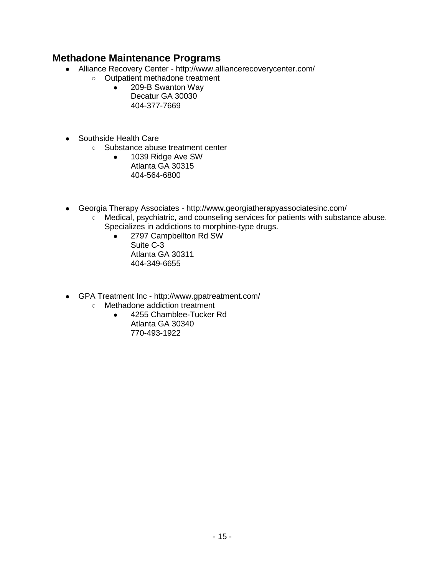#### **Methadone Maintenance Programs**

- Alliance Recovery Center http://www.alliancerecoverycenter.com/
	- Outpatient methadone treatment<br>209-B Swanton Way
		- 209-B Swanton Way Decatur GA 30030 404-377-7669
- Southside Health Care
	- Substance abuse treatment center
		- 1039 Ridge Ave SW Atlanta GA 30315 404-564-6800
- Georgia Therapy Associates http://www.georgiatherapyassociatesinc.com/
	- Medical, psychiatric, and counseling services for patients with substance abuse. Specializes in addictions to morphine-type drugs.
		- 2797 Campbellton Rd SW
			- Suite C-3 Atlanta GA 30311 404-349-6655
- GPA Treatment Inc http://www.gpatreatment.com/
	- Methadone addiction treatment
		- 4255 Chamblee-Tucker Rd Atlanta GA 30340 770-493-1922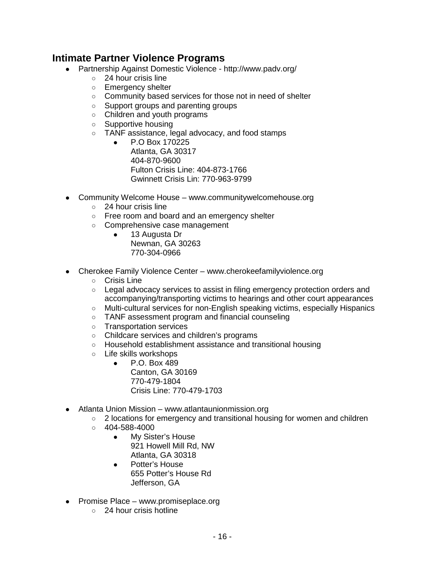#### **Intimate Partner Violence Programs**

- Partnership Against Domestic Violence http://www.padv.org/
	- 24 hour crisis line
	- Emergency shelter
	- Community based services for those not in need of shelter
	- Support groups and parenting groups
	- Children and youth programs
	- Supportive housing
	- TANF assistance, legal advocacy, and food stamps
		- P.O Box 170225 Atlanta, GA 30317 404-870-9600 Fulton Crisis Line: 404-873-1766 Gwinnett Crisis Lin: 770-963-9799
- Community Welcome House www.communitywelcomehouse.org
	- 24 hour crisis line
	- Free room and board and an emergency shelter
	- Comprehensive case management
		- 13 Augusta Dr Newnan, GA 30263 770-304-0966
- Cherokee Family Violence Center www.cherokeefamilyviolence.org
	- Crisis Line
	- Legal advocacy services to assist in filing emergency protection orders and accompanying/transporting victims to hearings and other court appearances
	- Multi-cultural services for non-English speaking victims, especially Hispanics
	- TANF assessment program and financial counseling<br>○ Transportation services
	- Transportation services
	- Childcare services and children's programs
	- Household establishment assistance and transitional housing
	- Life skills workshops<br>● P.O. Box 489
		- P.O. Box 489 Canton, GA 30169 770-479-1804 Crisis Line: 770-479-1703
- Atlanta Union Mission www.atlantaunionmission.org
	- 2 locations for emergency and transitional housing for women and children
	- $\circ$  404-588-4000
		- My Sister's House 921 Howell Mill Rd, NW Atlanta, GA 30318
		- Potter's House 655 Potter's House Rd Jefferson, GA
- Promise Place www.promiseplace.org
	- 24 hour crisis hotline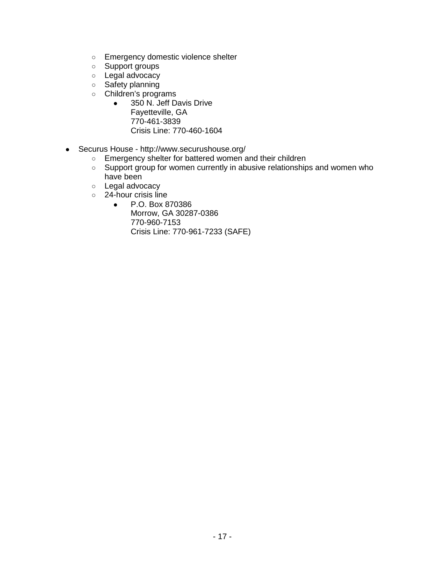- Emergency domestic violence shelter
- Support groups
- Legal advocacy
- Safety planning
- Children's programs<br>● 350 N. Jeff Da
	- 350 N. Jeff Davis Drive Fayetteville, GA 770-461-3839 Crisis Line: 770-460-1604
- Securus House http://www.securushouse.org/
	- Emergency shelter for battered women and their children
	- Support group for women currently in abusive relationships and women who have been
	- Legal advocacy
	- 24-hour crisis line
		- P.O. Box 870386 Morrow, GA 30287-0386 770-960-7153 Crisis Line: 770-961-7233 (SAFE)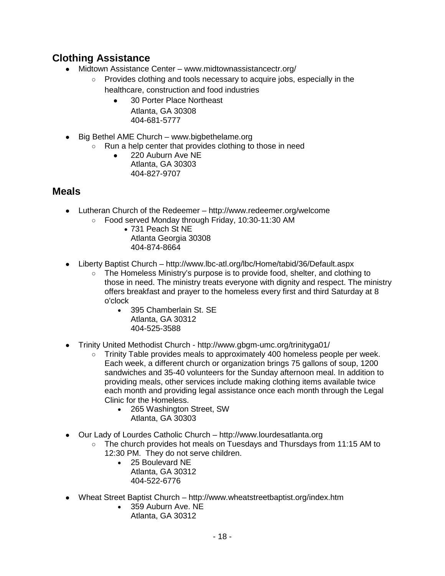## **Clothing Assistance**

- Midtown Assistance Center www.midtownassistancectr.org/
	- Provides clothing and tools necessary to acquire jobs, especially in the healthcare, construction and food industries
		- 30 Porter Place Northeast Atlanta, GA 30308 404-681-5777
- Big Bethel AME Church www.bigbethelame.org
	- Run a help center that provides clothing to those in need
		- 220 Auburn Ave NE Atlanta, GA 30303 404-827-9707

#### **Meals**

- Lutheran Church of the Redeemer http://www.redeemer.org/welcome
	- Food served Monday through Friday, 10:30-11:30 AM
		- 731 Peach St NE Atlanta Georgia 30308 404-874-8664
- Liberty Baptist Church http://www.lbc-atl.org/lbc/Home/tabid/36/Default.aspx
	- The Homeless Ministry's purpose is to provide food, shelter, and clothing to those in need. The ministry treats everyone with dignity and respect. The ministry offers breakfast and prayer to the homeless every first and third Saturday at 8 o'clock
		- 395 Chamberlain St. SE Atlanta, GA 30312 404-525-3588
- Trinity United Methodist Church http://www.gbgm-umc.org/trinityga01/
	- Trinity Table provides meals to approximately 400 homeless people per week. Each week, a different church or organization brings 75 gallons of soup, 1200 sandwiches and 35-40 volunteers for the Sunday afternoon meal. In addition to providing meals, other services include making clothing items available twice each month and providing legal assistance once each month through the Legal Clinic for the Homeless.
		- 265 Washington Street, SW Atlanta, GA 30303
- Our Lady of Lourdes Catholic Church http://www.lourdesatlanta.org
	- The church provides hot meals on Tuesdays and Thursdays from 11:15 AM to 12:30 PM. They do not serve children.
		- 25 Boulevard NE Atlanta, GA 30312 404-522-6776
- Wheat Street Baptist Church http://www.wheatstreetbaptist.org/index.htm
	- 359 Auburn Ave. NE Atlanta, GA 30312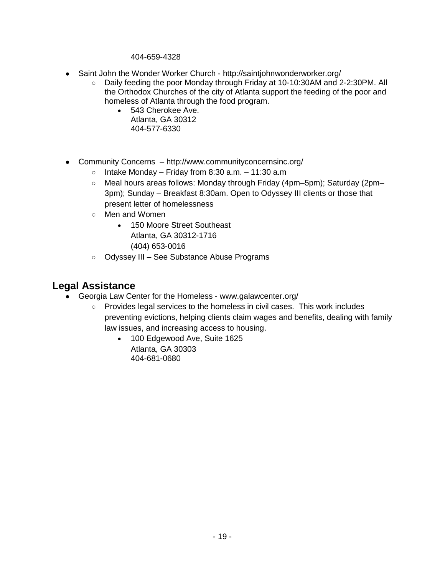404-659-4328

- Saint John the Wonder Worker Church http://saintjohnwonderworker.org/
	- Daily feeding the poor Monday through Friday at 10-10:30AM and 2-2:30PM. All the Orthodox Churches of the city of Atlanta support the feeding of the poor and homeless of Atlanta through the food program.
		- 543 Cherokee Ave. Atlanta, GA 30312 404-577-6330
- Community Concerns http://www.communityconcernsinc.org/
	- $\circ$  Intake Monday Friday from 8:30 a.m. 11:30 a.m
	- Meal hours areas follows: Monday through Friday (4pm–5pm); Saturday (2pm– 3pm); Sunday – Breakfast 8:30am. Open to Odyssey III clients or those that present letter of homelessness
	- Men and Women
		- 150 Moore Street Southeast Atlanta, GA 30312-1716 (404) 653-0016
	- Odyssey III See Substance Abuse Programs

#### **Legal Assistance**

- Georgia Law Center for the Homeless www.galawcenter.org/
	- Provides legal services to the homeless in civil cases. This work includes preventing evictions, helping clients claim wages and benefits, dealing with family law issues, and increasing access to housing.
		- 100 Edgewood Ave, Suite 1625 Atlanta, GA 30303 404-681-0680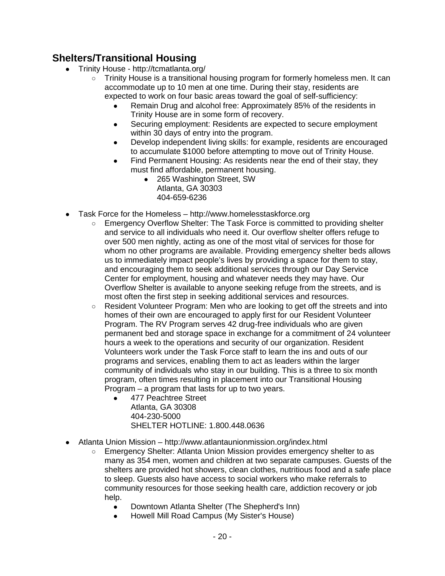## **Shelters/Transitional Housing**

- Trinity House http://tcmatlanta.org/
	- Trinity House is a transitional housing program for formerly homeless men. It can accommodate up to 10 men at one time. During their stay, residents are expected to work on four basic areas toward the goal of self-sufficiency:
		- Remain Drug and alcohol free: Approximately 85% of the residents in Trinity House are in some form of recovery.
		- Securing employment: Residents are expected to secure employment within 30 days of entry into the program.
		- Develop independent living skills: for example, residents are encouraged to accumulate \$1000 before attempting to move out of Trinity House.
		- Find Permanent Housing: As residents near the end of their stay, they must find affordable, permanent housing.
			- 265 Washington Street, SW Atlanta, GA 30303 404-659-6236
- Task Force for the Homeless http://www.homelesstaskforce.org
	- Emergency Overflow Shelter: The Task Force is committed to providing shelter and service to all individuals who need it. Our overflow shelter offers refuge to over 500 men nightly, acting as one of the most vital of services for those for whom no other programs are available. Providing emergency shelter beds allows us to immediately impact people's lives by providing a space for them to stay, and encouraging them to seek additional services through our Day Service Center for employment, housing and whatever needs they may have. Our Overflow Shelter is available to anyone seeking refuge from the streets, and is most often the first step in seeking additional services and resources.
	- Resident Volunteer Program: Men who are looking to get off the streets and into homes of their own are encouraged to apply first for our Resident Volunteer Program. The RV Program serves 42 drug-free individuals who are given permanent bed and storage space in exchange for a commitment of 24 volunteer hours a week to the operations and security of our organization. Resident Volunteers work under the Task Force staff to learn the ins and outs of our programs and services, enabling them to act as leaders within the larger community of individuals who stay in our building. This is a three to six month program, often times resulting in placement into our Transitional Housing Program – a program that lasts for up to two years.
		- 477 Peachtree Street Atlanta, GA 30308 404-230-5000 SHELTER HOTLINE: 1,800,448,0636
- Atlanta Union Mission http://www.atlantaunionmission.org/index.html
	- Emergency Shelter: Atlanta Union Mission provides emergency shelter to as many as 354 men, women and children at two separate campuses. Guests of the shelters are provided hot showers, clean clothes, nutritious food and a safe place to sleep. Guests also have access to social workers who make referrals to community resources for those seeking health care, addiction recovery or job help.
		- Downtown Atlanta Shelter (The Shepherd's Inn)
		- Howell Mill Road Campus (My Sister's House)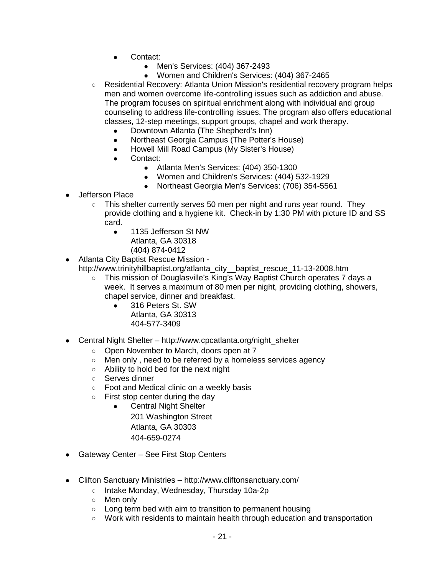- Contact:
	- Men's Services: (404) 367-2493
	- Women and Children's Services: (404) 367-2465
- Residential Recovery: Atlanta Union Mission's residential recovery program helps men and women overcome life-controlling issues such as addiction and abuse. The program focuses on spiritual enrichment along with individual and group counseling to address life-controlling issues. The program also offers educational classes, 12-step meetings, support groups, chapel and work therapy.
	- Downtown Atlanta (The Shepherd's Inn)
	- Northeast Georgia Campus (The Potter's House)
	- Howell Mill Road Campus (My Sister's House)
	- Contact:
		- Atlanta Men's Services: (404) 350-1300
		- Women and Children's Services: (404) 532-1929
		- Northeast Georgia Men's Services: (706) 354-5561
- Jefferson Place
	- This shelter currently serves 50 men per night and runs year round. They provide clothing and a hygiene kit. Check-in by 1:30 PM with picture ID and SS card.
		- 1135 Jefferson St NW Atlanta, GA 30318 (404) 874-0412
- Atlanta City Baptist Rescue Mission http://www.trinityhillbaptist.org/atlanta\_city\_\_baptist\_rescue\_11-13-2008.htm
	- This mission of Douglasville's King's Way Baptist Church operates 7 days a week. It serves a maximum of 80 men per night, providing clothing, showers, chapel service, dinner and breakfast.
		- 316 Peters St. SW Atlanta, GA 30313 404-577-3409
- Central Night Shelter http://www.cpcatlanta.org/night\_shelter
	- Open November to March, doors open at 7
	- Men only , need to be referred by a homeless services agency
	- Ability to hold bed for the next night
	- Serves dinner
	- Foot and Medical clinic on a weekly basis
	- First stop center during the day
		- **Central Night Shelter** 
			- 201 Washington Street Atlanta, GA 30303 404-659-0274
- Gateway Center See First Stop Centers
- Clifton Sanctuary Ministries http://www.cliftonsanctuary.com/
	- Intake Monday, Wednesday, Thursday 10a-2p
	- Men only
	- Long term bed with aim to transition to permanent housing
	- Work with residents to maintain health through education and transportation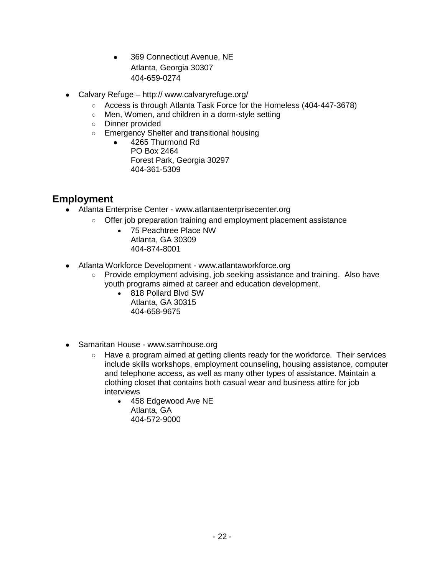- 369 Connecticut Avenue, NE Atlanta, Georgia 30307 404-659-0274
- Calvary Refuge http:// www.calvaryrefuge.org/
	- Access is through Atlanta Task Force for the Homeless (404-447-3678)
	- Men, Women, and children in a dorm-style setting
	- Dinner provided
	- Emergency Shelter and transitional housing
		- 4265 Thurmond Rd PO Box 2464 Forest Park, Georgia 30297 404-361-5309

#### **Employment**

- Atlanta Enterprise Center www.atlantaenterprisecenter.org
	- Offer job preparation training and employment placement assistance
		- 75 Peachtree Place NW Atlanta, GA 30309 404-874-8001
- Atlanta Workforce Development www.atlantaworkforce.org
	- o Provide employment advising, job seeking assistance and training. Also have youth programs aimed at career and education development.
		- 818 Pollard Blvd SW Atlanta, GA 30315 404-658-9675
- Samaritan House www.samhouse.org
	- $\circ$  Have a program aimed at getting clients ready for the workforce. Their services include skills workshops, employment counseling, housing assistance, computer and telephone access, as well as many other types of assistance. Maintain a clothing closet that contains both casual wear and business attire for job interviews
		- 458 Edgewood Ave NE Atlanta, GA 404-572-9000